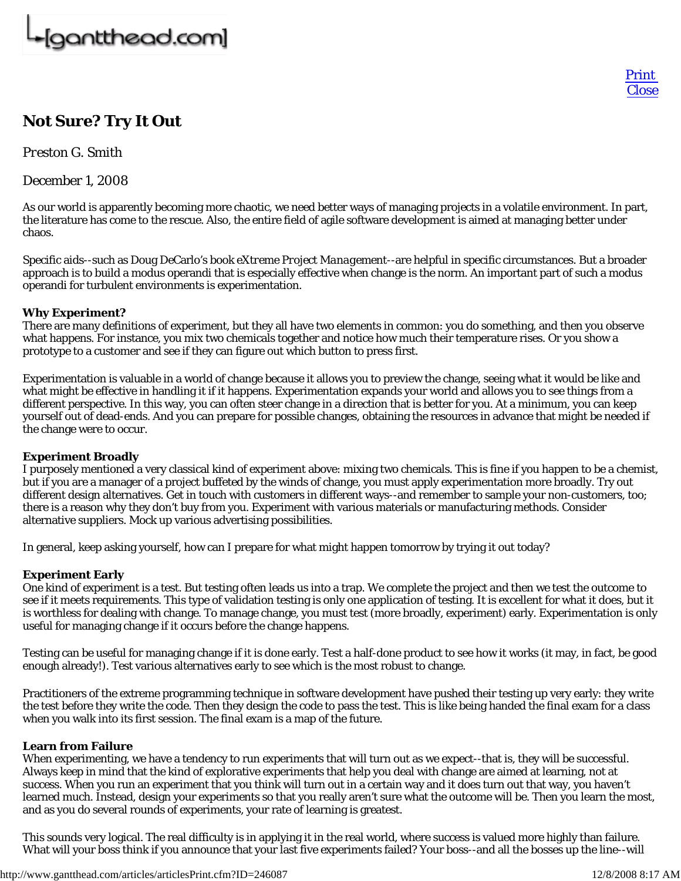# [gantthead.com]

*Preston G. Smith*

December 1, 2008

Print **Close** 

As our world is apparently becoming more chaotic, we need better ways of managing projects in a volatile environment. In part, the literature has come to the rescue. Also, the entire field of agile software development is aimed at managing better under chaos.

Specific aids--such as Doug DeCarlo's book *eXtreme Project Management*--are helpful in specific circumstances. But a broader approach is to build a modus operandi that is especially effective when change is the norm. An important part of such a modus operandi for turbulent environments is experimentation.

## **Why Experiment?**

There are many definitions of experiment, but they all have two elements in common: you do something, and then you observe what happens. For instance, you mix two chemicals together and notice how much their temperature rises. Or you show a prototype to a customer and see if they can figure out which button to press first.

Experimentation is valuable in a world of change because it allows you to preview the change, seeing what it would be like and what might be effective in handling it if it happens. Experimentation expands your world and allows you to see things from a different perspective. In this way, you can often steer change in a direction that is better for you. At a minimum, you can keep yourself out of dead-ends. And you can prepare for possible changes, obtaining the resources in advance that might be needed if the change were to occur.

## **Experiment Broadly**

I purposely mentioned a very classical kind of experiment above: mixing two chemicals. This is fine if you happen to be a chemist, but if you are a manager of a project buffeted by the winds of change, you must apply experimentation more broadly. Try out different design alternatives. Get in touch with customers in different ways--and remember to sample your non-customers, too; there is a reason why they don't buy from you. Experiment with various materials or manufacturing methods. Consider alternative suppliers. Mock up various advertising possibilities.

In general, keep asking yourself, how can I prepare for what might happen tomorrow by trying it out today?

## **Experiment Early**

One kind of experiment is a test. But testing often leads us into a trap. We complete the project and then we test the outcome to see if it meets requirements. This type of validation testing is only one application of testing. It is excellent for what it does, but it is worthless for dealing with change. To manage change, you must test (more broadly, experiment) early. Experimentation is only useful for managing change if it occurs before the change happens.

Testing can be useful for managing change if it is done early. Test a half-done product to see how it works (it may, in fact, be good enough already!). Test various alternatives early to see which is the most robust to change.

Practitioners of the extreme programming technique in software development have pushed their testing up very early: they write the test before they write the code. Then they design the code to pass the test. This is like being handed the final exam for a class when you walk into its first session. The final exam is a map of the future.

#### **Learn from Failure**

When experimenting, we have a tendency to run experiments that will turn out as we expect--that is, they will be successful. Always keep in mind that the kind of explorative experiments that help you deal with change are aimed at learning, not at success. When you run an experiment that you think will turn out in a certain way and it does turn out that way, you haven't learned much. Instead, design your experiments so that you really aren't sure what the outcome will be. Then you learn the most, and as you do several rounds of experiments, your rate of learning is greatest.

This sounds very logical. The real difficulty is in applying it in the real world, where success is valued more highly than failure. What will your boss think if you announce that your last five experiments failed? Your boss--and all the bosses up the line--will